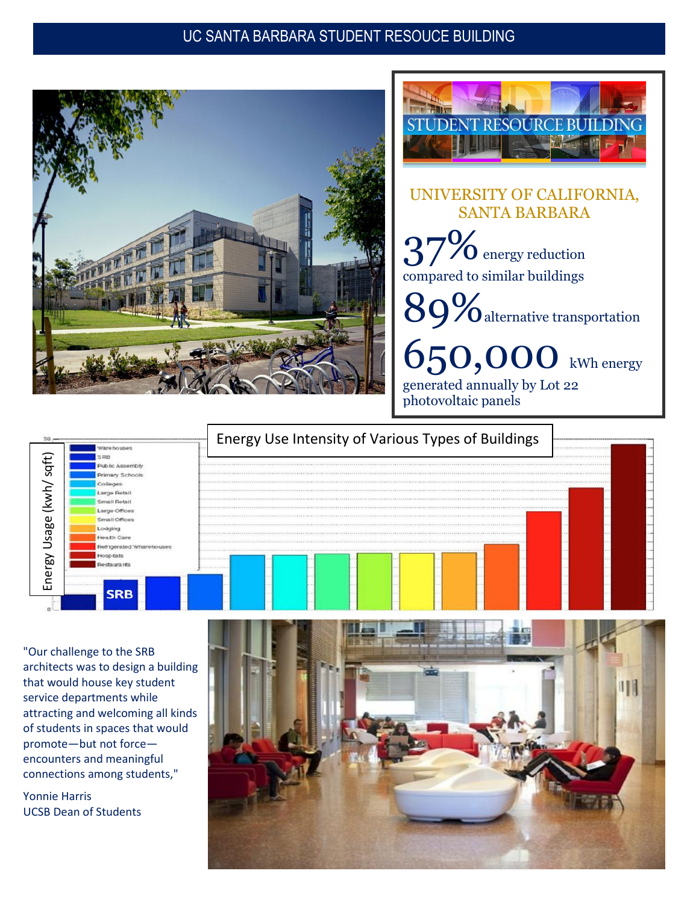#### UC SANTA BARBARA STUDENT RESOUCE BUILDING





#### UNIVERSITY OF CALIFORNIA, SANTA BARBARA

 $\overline{20}$  energy reduction compared to similar buildings

89%alternative transportation

650,000 kWh energy generated annually by Lot 22 photovoltaic panels



"Our challenge to the SRB architects was to design a building that would house key student service departments while attracting and welcoming all kinds of students in spaces that would promote—but not force encounters and meaningful connections among students,"

Yonnie Harris UCSB Dean of Students